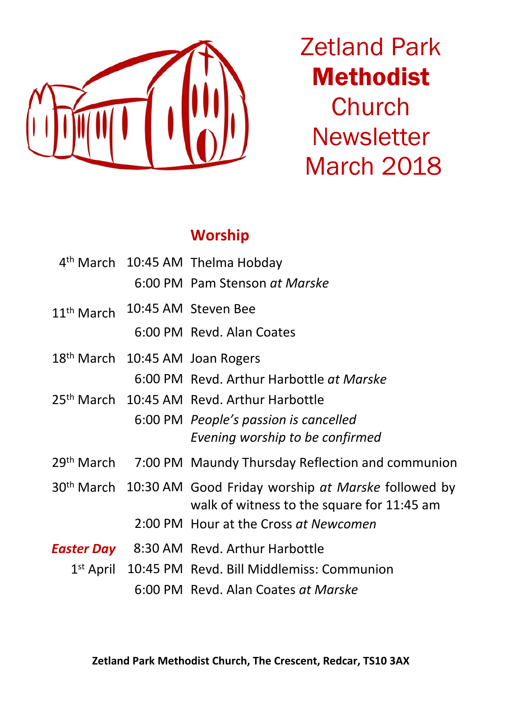

Zetland Park Methodist **Church Newsletter** March 2018

## **Worship**

|              | 4 <sup>th</sup> March 10:45 AM Thelma Hobday                                                                            |
|--------------|-------------------------------------------------------------------------------------------------------------------------|
|              | 6:00 PM Pam Stenson at Marske                                                                                           |
| $11th$ March | 10:45 AM Steven Bee                                                                                                     |
|              | 6:00 PM Revd. Alan Coates                                                                                               |
|              | 18 <sup>th</sup> March 10:45 AM Joan Rogers                                                                             |
|              | 6:00 PM Revd. Arthur Harbottle at Marske                                                                                |
|              | 25 <sup>th</sup> March 10:45 AM Revd. Arthur Harbottle                                                                  |
|              | 6:00 PM People's passion is cancelled                                                                                   |
|              | Evening worship to be confirmed                                                                                         |
|              | 29 <sup>th</sup> March 7:00 PM Maundy Thursday Reflection and communion                                                 |
|              | 30 <sup>th</sup> March 10:30 AM Good Friday worship at Marske followed by<br>walk of witness to the square for 11:45 am |
|              | 2:00 PM Hour at the Cross at Newcomen                                                                                   |
|              | <b>Easter Day</b> 8:30 AM Revd. Arthur Harbottle                                                                        |
|              | 1 <sup>st</sup> April 10:45 PM Revd. Bill Middlemiss: Communion                                                         |
|              | 6:00 PM Revd. Alan Coates at Marske                                                                                     |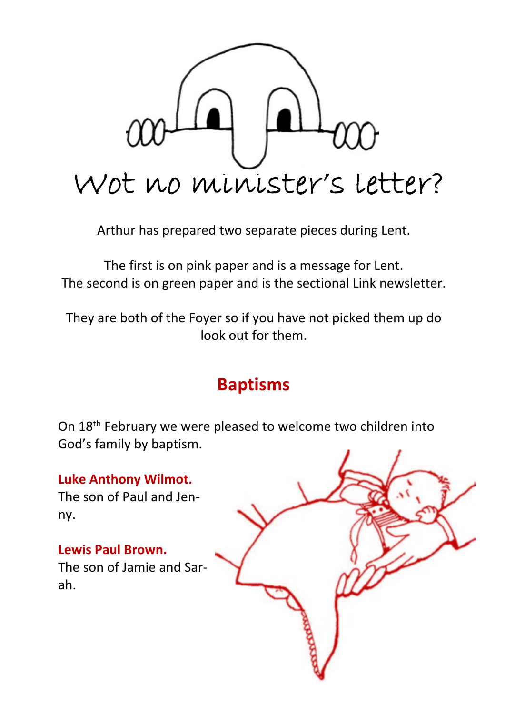

Arthur has prepared two separate pieces during Lent.

The first is on pink paper and is a message for Lent. The second is on green paper and is the sectional Link newsletter.

They are both of the Foyer so if you have not picked them up do look out for them.

# **Baptisms**

On 18th February we were pleased to welcome two children into God's family by baptism.

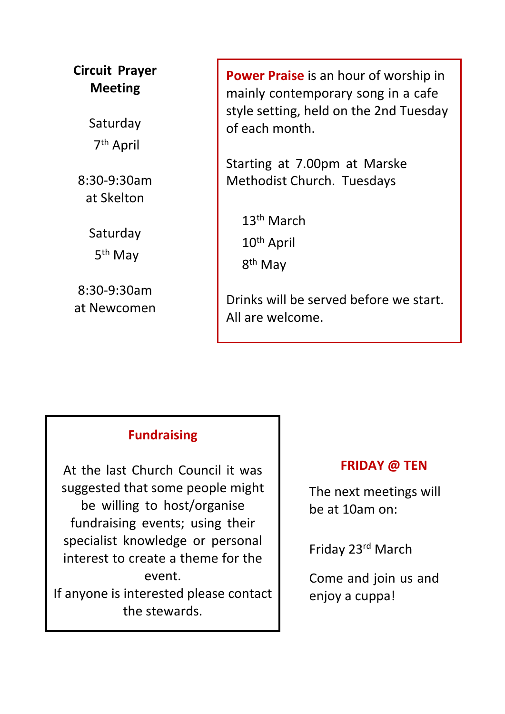**Circuit Prayer Meeting**

> Saturday 7th April

8:30-9:30am at Skelton

> Saturday 5th May

8:30-9:30am at Newcomen **Power Praise** is an hour of worship in mainly contemporary song in a cafe style setting, held on the 2nd Tuesday of each month.

Starting at 7.00pm at Marske Methodist Church. Tuesdays

13th March 10th April 8<sup>th</sup> May

Drinks will be served before we start. All are welcome.

## **Fundraising**

At the last Church Council it was suggested that some people might be willing to host/organise fundraising events; using their specialist knowledge or personal interest to create a theme for the event. If anyone is interested please contact the stewards.

#### **FRIDAY @ TEN**

The next meetings will be at 10am on:

Friday 23rd March

Come and join us and enjoy a cuppa!